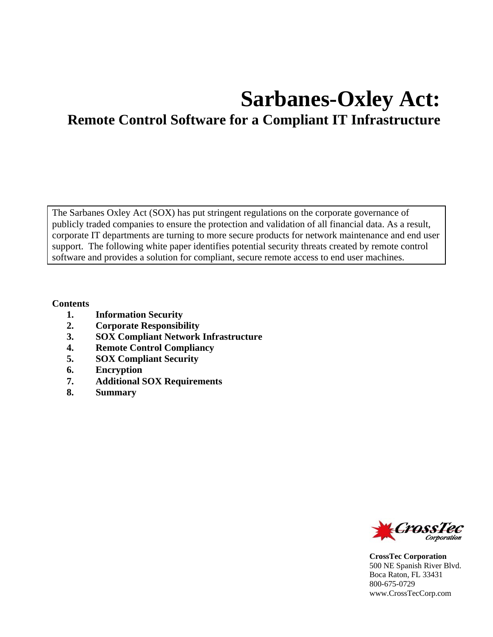# **Sarbanes-Oxley Act: Remote Control Software for a Compliant IT Infrastructure**

The Sarbanes Oxley Act (SOX) has put stringent regulations on the corporate governance of publicly traded companies to ensure the protection and validation of all financial data. As a result, corporate IT departments are turning to more secure products for network maintenance and end user support. The following white paper identifies potential security threats created by remote control software and provides a solution for compliant, secure remote access to end user machines.

#### **Contents**

- **1. Information Security**
- **2. Corporate Responsibility**
- **3. SOX Compliant Network Infrastructure**
- **4. Remote Control Compliancy**
- **5. SOX Compliant Security**
- **6. Encryption**
- **7. Additional SOX Requirements**
- **8. Summary**



**CrossTec Corporation**  500 NE Spanish River Blvd. Boca Raton, FL 33431 800-675-0729 www.CrossTecCorp.com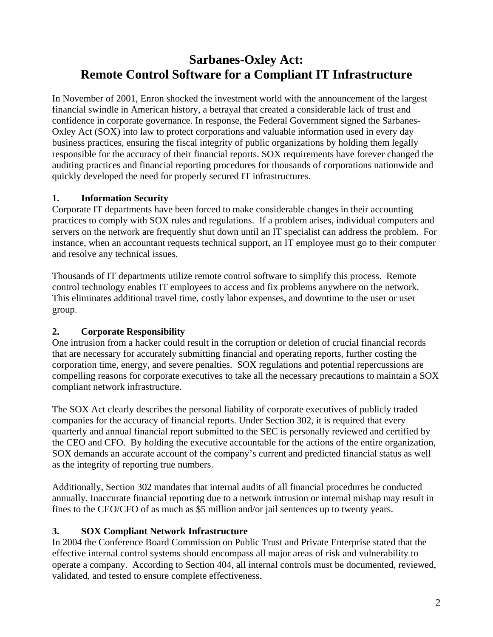# **Sarbanes-Oxley Act: Remote Control Software for a Compliant IT Infrastructure**

In November of 2001, Enron shocked the investment world with the announcement of the largest financial swindle in American history, a betrayal that created a considerable lack of trust and confidence in corporate governance. In response, the Federal Government signed the Sarbanes-Oxley Act (SOX) into law to protect corporations and valuable information used in every day business practices, ensuring the fiscal integrity of public organizations by holding them legally responsible for the accuracy of their financial reports. SOX requirements have forever changed the auditing practices and financial reporting procedures for thousands of corporations nationwide and quickly developed the need for properly secured IT infrastructures.

## **1. Information Security**

Corporate IT departments have been forced to make considerable changes in their accounting practices to comply with SOX rules and regulations. If a problem arises, individual computers and servers on the network are frequently shut down until an IT specialist can address the problem. For instance, when an accountant requests technical support, an IT employee must go to their computer and resolve any technical issues.

Thousands of IT departments utilize remote control software to simplify this process. Remote control technology enables IT employees to access and fix problems anywhere on the network. This eliminates additional travel time, costly labor expenses, and downtime to the user or user group.

# **2. Corporate Responsibility**

One intrusion from a hacker could result in the corruption or deletion of crucial financial records that are necessary for accurately submitting financial and operating reports, further costing the corporation time, energy, and severe penalties. SOX regulations and potential repercussions are compelling reasons for corporate executives to take all the necessary precautions to maintain a SOX compliant network infrastructure.

The SOX Act clearly describes the personal liability of corporate executives of publicly traded companies for the accuracy of financial reports. Under Section 302, it is required that every quarterly and annual financial report submitted to the SEC is personally reviewed and certified by the CEO and CFO. By holding the executive accountable for the actions of the entire organization, SOX demands an accurate account of the company's current and predicted financial status as well as the integrity of reporting true numbers.

Additionally, Section 302 mandates that internal audits of all financial procedures be conducted annually. Inaccurate financial reporting due to a network intrusion or internal mishap may result in fines to the CEO/CFO of as much as \$5 million and/or jail sentences up to twenty years.

## **3. SOX Compliant Network Infrastructure**

In 2004 the Conference Board Commission on Public Trust and Private Enterprise stated that the effective internal control systems should encompass all major areas of risk and vulnerability to operate a company. According to Section 404, all internal controls must be documented, reviewed, validated, and tested to ensure complete effectiveness.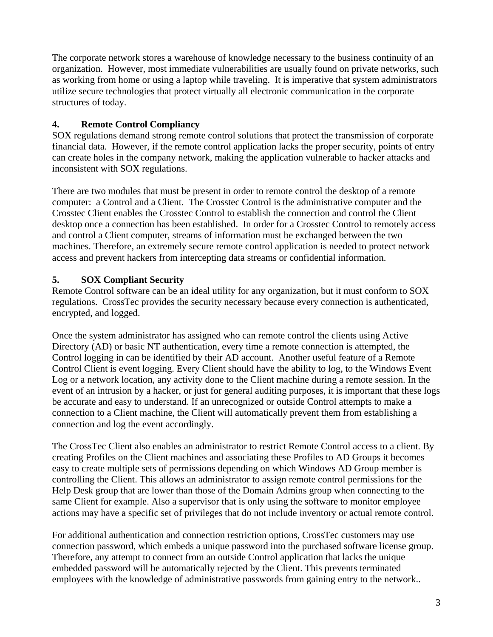The corporate network stores a warehouse of knowledge necessary to the business continuity of an organization. However, most immediate vulnerabilities are usually found on private networks, such as working from home or using a laptop while traveling. It is imperative that system administrators utilize secure technologies that protect virtually all electronic communication in the corporate structures of today.

#### **4. Remote Control Compliancy**

SOX regulations demand strong remote control solutions that protect the transmission of corporate financial data. However, if the remote control application lacks the proper security, points of entry can create holes in the company network, making the application vulnerable to hacker attacks and inconsistent with SOX regulations.

There are two modules that must be present in order to remote control the desktop of a remote computer: a Control and a Client. The Crosstec Control is the administrative computer and the Crosstec Client enables the Crosstec Control to establish the connection and control the Client desktop once a connection has been established. In order for a Crosstec Control to remotely access and control a Client computer, streams of information must be exchanged between the two machines. Therefore, an extremely secure remote control application is needed to protect network access and prevent hackers from intercepting data streams or confidential information.

## **5. SOX Compliant Security**

Remote Control software can be an ideal utility for any organization, but it must conform to SOX regulations. CrossTec provides the security necessary because every connection is authenticated, encrypted, and logged.

Once the system administrator has assigned who can remote control the clients using Active Directory (AD) or basic NT authentication, every time a remote connection is attempted, the Control logging in can be identified by their AD account. Another useful feature of a Remote Control Client is event logging. Every Client should have the ability to log, to the Windows Event Log or a network location, any activity done to the Client machine during a remote session. In the event of an intrusion by a hacker, or just for general auditing purposes, it is important that these logs be accurate and easy to understand. If an unrecognized or outside Control attempts to make a connection to a Client machine, the Client will automatically prevent them from establishing a connection and log the event accordingly.

The CrossTec Client also enables an administrator to restrict Remote Control access to a client. By creating Profiles on the Client machines and associating these Profiles to AD Groups it becomes easy to create multiple sets of permissions depending on which Windows AD Group member is controlling the Client. This allows an administrator to assign remote control permissions for the Help Desk group that are lower than those of the Domain Admins group when connecting to the same Client for example. Also a supervisor that is only using the software to monitor employee actions may have a specific set of privileges that do not include inventory or actual remote control.

For additional authentication and connection restriction options, CrossTec customers may use connection password, which embeds a unique password into the purchased software license group. Therefore, any attempt to connect from an outside Control application that lacks the unique embedded password will be automatically rejected by the Client. This prevents terminated employees with the knowledge of administrative passwords from gaining entry to the network..